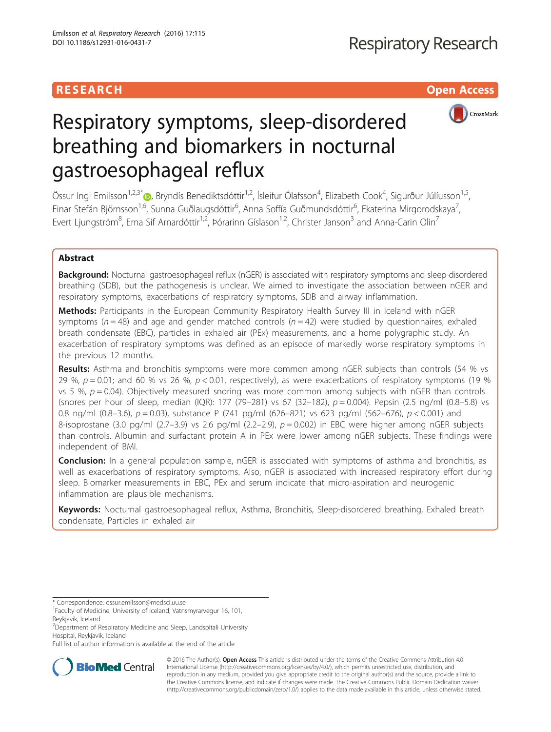# RESEARCH **RESEARCH CONSUMING THE CONSUMING THE CONSUMING THE CONSUMING TENS**



# Respiratory symptoms, sleep-disordered breathing and biomarkers in nocturnal gastroesophageal reflux

Össur Ingi Emilsson<sup>1[,](http://orcid.org/0000-0002-7199-8491)2,3\*</sup>®, Bryndís Benediktsdóttir<sup>1,2</sup>, Ísleifur Ólafsson<sup>4</sup>, Elizabeth Cook<sup>4</sup>, Sigurður Júlíusson<sup>1,5</sup>, Einar Stefán Björnsson<sup>1,6</sup>, Sunna Guðlaugsdóttir<sup>6</sup>, Anna Soffía Guðmundsdóttir<sup>6</sup>, Ekaterina Mirgorodskaya<sup>7</sup> , Evert Ljungström $^8$ , Erna Sif Arnardóttir $^{1,2}$ , Þórarinn Gíslason $^{1,2}$ , Christer Janson $^3$  and Anna-Carin Olin $^7$ 

# Abstract

**Background:** Nocturnal gastroesophageal reflux (nGER) is associated with respiratory symptoms and sleep-disordered breathing (SDB), but the pathogenesis is unclear. We aimed to investigate the association between nGER and respiratory symptoms, exacerbations of respiratory symptoms, SDB and airway inflammation.

Methods: Participants in the European Community Respiratory Health Survey III in Iceland with nGER symptoms ( $n = 48$ ) and age and gender matched controls ( $n = 42$ ) were studied by questionnaires, exhaled breath condensate (EBC), particles in exhaled air (PEx) measurements, and a home polygraphic study. An exacerbation of respiratory symptoms was defined as an episode of markedly worse respiratory symptoms in the previous 12 months.

Results: Asthma and bronchitis symptoms were more common among nGER subjects than controls (54 % vs 29 %,  $p = 0.01$ ; and 60 % vs 26 %,  $p < 0.01$ , respectively), as were exacerbations of respiratory symptoms (19 %) vs 5 %,  $p = 0.04$ ). Objectively measured snoring was more common among subjects with nGER than controls (snores per hour of sleep, median (IQR): 177 (79–281) vs 67 (32–182), p = 0.004). Pepsin (2.5 ng/ml (0.8–5.8) vs 0.8 ng/ml (0.8–3.6),  $p = 0.03$ ), substance P (741 pg/ml (626–821) vs 623 pg/ml (562–676),  $p < 0.001$ ) and 8-isoprostane (3.0 pg/ml (2.7–3.9) vs 2.6 pg/ml (2.2–2.9),  $p = 0.002$ ) in EBC were higher among nGER subjects than controls. Albumin and surfactant protein A in PEx were lower among nGER subjects. These findings were independent of BMI.

**Conclusion:** In a general population sample, nGER is associated with symptoms of asthma and bronchitis, as well as exacerbations of respiratory symptoms. Also, nGER is associated with increased respiratory effort during sleep. Biomarker measurements in EBC, PEx and serum indicate that micro-aspiration and neurogenic inflammation are plausible mechanisms.

Keywords: Nocturnal gastroesophageal reflux, Asthma, Bronchitis, Sleep-disordered breathing, Exhaled breath condensate, Particles in exhaled air

Full list of author information is available at the end of the article



© 2016 The Author(s). Open Access This article is distributed under the terms of the Creative Commons Attribution 4.0 International License [\(http://creativecommons.org/licenses/by/4.0/](http://creativecommons.org/licenses/by/4.0/)), which permits unrestricted use, distribution, and reproduction in any medium, provided you give appropriate credit to the original author(s) and the source, provide a link to the Creative Commons license, and indicate if changes were made. The Creative Commons Public Domain Dedication waiver [\(http://creativecommons.org/publicdomain/zero/1.0/](http://creativecommons.org/publicdomain/zero/1.0/)) applies to the data made available in this article, unless otherwise stated.

<sup>\*</sup> Correspondence: [ossur.emilsson@medsci.uu.se](mailto:ossur.emilsson@medsci.uu.se) <sup>1</sup>

<sup>&</sup>lt;sup>1</sup> Faculty of Medicine, University of Iceland, Vatnsmyrarvegur 16, 101, Reykjavik, Iceland

<sup>&</sup>lt;sup>2</sup>Department of Respiratory Medicine and Sleep, Landspitali University

Hospital, Reykjavik, Iceland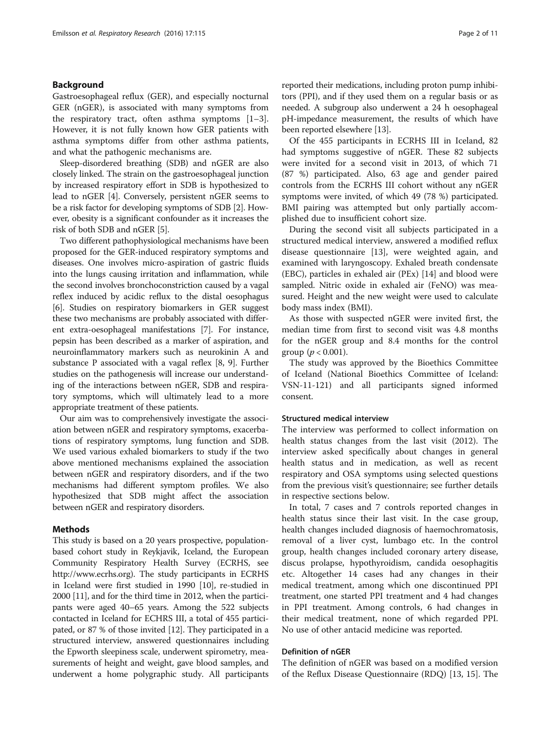# Background

Gastroesophageal reflux (GER), and especially nocturnal GER (nGER), is associated with many symptoms from the respiratory tract, often asthma symptoms  $[1-3]$  $[1-3]$  $[1-3]$  $[1-3]$ . However, it is not fully known how GER patients with asthma symptoms differ from other asthma patients, and what the pathogenic mechanisms are.

Sleep-disordered breathing (SDB) and nGER are also closely linked. The strain on the gastroesophageal junction by increased respiratory effort in SDB is hypothesized to lead to nGER [[4\]](#page-9-0). Conversely, persistent nGER seems to be a risk factor for developing symptoms of SDB [\[2](#page-9-0)]. However, obesity is a significant confounder as it increases the risk of both SDB and nGER [\[5](#page-9-0)].

Two different pathophysiological mechanisms have been proposed for the GER-induced respiratory symptoms and diseases. One involves micro-aspiration of gastric fluids into the lungs causing irritation and inflammation, while the second involves bronchoconstriction caused by a vagal reflex induced by acidic reflux to the distal oesophagus [[6\]](#page-9-0). Studies on respiratory biomarkers in GER suggest these two mechanisms are probably associated with different extra-oesophageal manifestations [\[7](#page-9-0)]. For instance, pepsin has been described as a marker of aspiration, and neuroinflammatory markers such as neurokinin A and substance P associated with a vagal reflex [[8, 9](#page-9-0)]. Further studies on the pathogenesis will increase our understanding of the interactions between nGER, SDB and respiratory symptoms, which will ultimately lead to a more appropriate treatment of these patients.

Our aim was to comprehensively investigate the association between nGER and respiratory symptoms, exacerbations of respiratory symptoms, lung function and SDB. We used various exhaled biomarkers to study if the two above mentioned mechanisms explained the association between nGER and respiratory disorders, and if the two mechanisms had different symptom profiles. We also hypothesized that SDB might affect the association between nGER and respiratory disorders.

# Methods

This study is based on a 20 years prospective, populationbased cohort study in Reykjavik, Iceland, the European Community Respiratory Health Survey (ECRHS, see <http://www.ecrhs.org>). The study participants in ECRHS in Iceland were first studied in 1990 [[10](#page-9-0)], re-studied in 2000 [[11](#page-9-0)], and for the third time in 2012, when the participants were aged 40–65 years. Among the 522 subjects contacted in Iceland for ECHRS III, a total of 455 participated, or 87 % of those invited [[12](#page-9-0)]. They participated in a structured interview, answered questionnaires including the Epworth sleepiness scale, underwent spirometry, measurements of height and weight, gave blood samples, and underwent a home polygraphic study. All participants reported their medications, including proton pump inhibitors (PPI), and if they used them on a regular basis or as needed. A subgroup also underwent a 24 h oesophageal pH-impedance measurement, the results of which have been reported elsewhere [[13](#page-9-0)].

Of the 455 participants in ECRHS III in Iceland, 82 had symptoms suggestive of nGER. These 82 subjects were invited for a second visit in 2013, of which 71 (87 %) participated. Also, 63 age and gender paired controls from the ECRHS III cohort without any nGER symptoms were invited, of which 49 (78 %) participated. BMI pairing was attempted but only partially accomplished due to insufficient cohort size.

During the second visit all subjects participated in a structured medical interview, answered a modified reflux disease questionnaire [\[13](#page-9-0)], were weighted again, and examined with laryngoscopy. Exhaled breath condensate (EBC), particles in exhaled air (PEx) [[14\]](#page-9-0) and blood were sampled. Nitric oxide in exhaled air (FeNO) was measured. Height and the new weight were used to calculate body mass index (BMI).

As those with suspected nGER were invited first, the median time from first to second visit was 4.8 months for the nGER group and 8.4 months for the control group ( $p < 0.001$ ).

The study was approved by the Bioethics Committee of Iceland (National Bioethics Committee of Iceland: VSN-11-121) and all participants signed informed consent.

# Structured medical interview

The interview was performed to collect information on health status changes from the last visit (2012). The interview asked specifically about changes in general health status and in medication, as well as recent respiratory and OSA symptoms using selected questions from the previous visit's questionnaire; see further details in respective sections below.

In total, 7 cases and 7 controls reported changes in health status since their last visit. In the case group, health changes included diagnosis of haemochromatosis, removal of a liver cyst, lumbago etc. In the control group, health changes included coronary artery disease, discus prolapse, hypothyroidism, candida oesophagitis etc. Altogether 14 cases had any changes in their medical treatment, among which one discontinued PPI treatment, one started PPI treatment and 4 had changes in PPI treatment. Among controls, 6 had changes in their medical treatment, none of which regarded PPI. No use of other antacid medicine was reported.

# Definition of nGER

The definition of nGER was based on a modified version of the Reflux Disease Questionnaire (RDQ) [\[13, 15\]](#page-9-0). The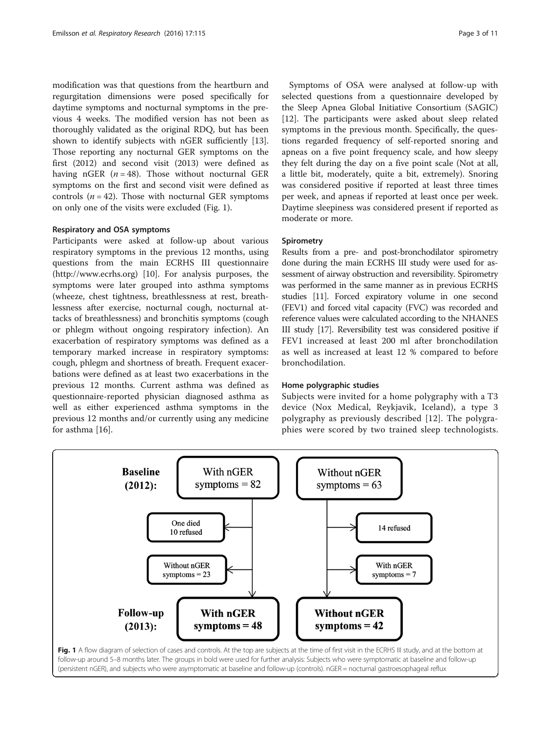modification was that questions from the heartburn and regurgitation dimensions were posed specifically for daytime symptoms and nocturnal symptoms in the previous 4 weeks. The modified version has not been as thoroughly validated as the original RDQ, but has been shown to identify subjects with nGER sufficiently [\[13](#page-9-0)]. Those reporting any nocturnal GER symptoms on the first (2012) and second visit (2013) were defined as having nGER  $(n = 48)$ . Those without nocturnal GER symptoms on the first and second visit were defined as controls ( $n = 42$ ). Those with nocturnal GER symptoms on only one of the visits were excluded (Fig. 1).

#### Respiratory and OSA symptoms

Participants were asked at follow-up about various respiratory symptoms in the previous 12 months, using questions from the main ECRHS III questionnaire (<http://www.ecrhs.org>) [[10](#page-9-0)]. For analysis purposes, the symptoms were later grouped into asthma symptoms (wheeze, chest tightness, breathlessness at rest, breathlessness after exercise, nocturnal cough, nocturnal attacks of breathlessness) and bronchitis symptoms (cough or phlegm without ongoing respiratory infection). An exacerbation of respiratory symptoms was defined as a temporary marked increase in respiratory symptoms: cough, phlegm and shortness of breath. Frequent exacerbations were defined as at least two exacerbations in the previous 12 months. Current asthma was defined as questionnaire-reported physician diagnosed asthma as well as either experienced asthma symptoms in the previous 12 months and/or currently using any medicine for asthma [[16\]](#page-9-0).

Symptoms of OSA were analysed at follow-up with selected questions from a questionnaire developed by the Sleep Apnea Global Initiative Consortium (SAGIC) [[12\]](#page-9-0). The participants were asked about sleep related symptoms in the previous month. Specifically, the questions regarded frequency of self-reported snoring and apneas on a five point frequency scale, and how sleepy they felt during the day on a five point scale (Not at all, a little bit, moderately, quite a bit, extremely). Snoring was considered positive if reported at least three times per week, and apneas if reported at least once per week. Daytime sleepiness was considered present if reported as moderate or more.

# **Spirometry**

Results from a pre- and post-bronchodilator spirometry done during the main ECRHS III study were used for assessment of airway obstruction and reversibility. Spirometry was performed in the same manner as in previous ECRHS studies [\[11](#page-9-0)]. Forced expiratory volume in one second (FEV1) and forced vital capacity (FVC) was recorded and reference values were calculated according to the NHANES III study [\[17\]](#page-9-0). Reversibility test was considered positive if FEV1 increased at least 200 ml after bronchodilation as well as increased at least 12 % compared to before bronchodilation.

#### Home polygraphic studies

Subjects were invited for a home polygraphy with a T3 device (Nox Medical, Reykjavik, Iceland), a type 3 polygraphy as previously described [[12](#page-9-0)]. The polygraphies were scored by two trained sleep technologists.

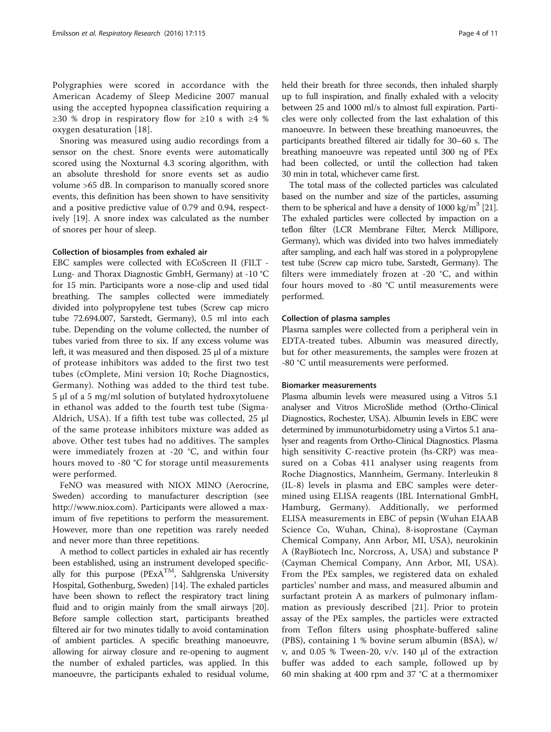Polygraphies were scored in accordance with the American Academy of Sleep Medicine 2007 manual using the accepted hypopnea classification requiring a  $≥30$  % drop in respiratory flow for  $≥10$  s with  $≥4$  % oxygen desaturation [[18](#page-9-0)].

Snoring was measured using audio recordings from a sensor on the chest. Snore events were automatically scored using the Noxturnal 4.3 scoring algorithm, with an absolute threshold for snore events set as audio volume >65 dB. In comparison to manually scored snore events, this definition has been shown to have sensitivity and a positive predictive value of 0.79 and 0.94, respectively [\[19](#page-9-0)]. A snore index was calculated as the number of snores per hour of sleep.

## Collection of biosamples from exhaled air

EBC samples were collected with ECoScreen II (FILT - Lung- and Thorax Diagnostic GmbH, Germany) at -10 °C for 15 min. Participants wore a nose-clip and used tidal breathing. The samples collected were immediately divided into polypropylene test tubes (Screw cap micro tube 72.694.007, Sarstedt, Germany), 0.5 ml into each tube. Depending on the volume collected, the number of tubes varied from three to six. If any excess volume was left, it was measured and then disposed. 25 μl of a mixture of protease inhibitors was added to the first two test tubes (cOmplete, Mini version 10; Roche Diagnostics, Germany). Nothing was added to the third test tube. 5 μl of a 5 mg/ml solution of butylated hydroxytoluene in ethanol was added to the fourth test tube (Sigma-Aldrich, USA). If a fifth test tube was collected, 25 μl of the same protease inhibitors mixture was added as above. Other test tubes had no additives. The samples were immediately frozen at -20 °C, and within four hours moved to -80 °C for storage until measurements were performed.

FeNO was measured with NIOX MINO (Aerocrine, Sweden) according to manufacturer description (see <http://www.niox.com>). Participants were allowed a maximum of five repetitions to perform the measurement. However, more than one repetition was rarely needed and never more than three repetitions.

A method to collect particles in exhaled air has recently been established, using an instrument developed specifically for this purpose ( $PExA^{TM}$ , Sahlgrenska University Hospital, Gothenburg, Sweden) [\[14\]](#page-9-0). The exhaled particles have been shown to reflect the respiratory tract lining fluid and to origin mainly from the small airways [[20](#page-9-0)]. Before sample collection start, participants breathed filtered air for two minutes tidally to avoid contamination of ambient particles. A specific breathing manoeuvre, allowing for airway closure and re-opening to augment the number of exhaled particles, was applied. In this manoeuvre, the participants exhaled to residual volume, held their breath for three seconds, then inhaled sharply up to full inspiration, and finally exhaled with a velocity between 25 and 1000 ml/s to almost full expiration. Particles were only collected from the last exhalation of this manoeuvre. In between these breathing manoeuvres, the participants breathed filtered air tidally for 30–60 s. The breathing manoeuvre was repeated until 300 ng of PEx had been collected, or until the collection had taken 30 min in total, whichever came first.

The total mass of the collected particles was calculated based on the number and size of the particles, assuming them to be spherical and have a density of  $1000 \text{ kg/m}^3$  [\[21](#page-9-0)]. The exhaled particles were collected by impaction on a teflon filter (LCR Membrane Filter, Merck Millipore, Germany), which was divided into two halves immediately after sampling, and each half was stored in a polypropylene test tube (Screw cap micro tube, Sarstedt, Germany). The filters were immediately frozen at -20 °C, and within four hours moved to -80 °C until measurements were performed.

## Collection of plasma samples

Plasma samples were collected from a peripheral vein in EDTA-treated tubes. Albumin was measured directly, but for other measurements, the samples were frozen at -80 °C until measurements were performed.

#### Biomarker measurements

Plasma albumin levels were measured using a Vitros 5.1 analyser and Vitros MicroSlide method (Ortho-Clinical Diagnostics, Rochester, USA). Albumin levels in EBC were determined by immunoturbidometry using a Virtos 5.1 analyser and reagents from Ortho-Clinical Diagnostics. Plasma high sensitivity C-reactive protein (hs-CRP) was measured on a Cobas 411 analyser using reagents from Roche Diagnostics, Mannheim, Germany. Interleukin 8 (IL-8) levels in plasma and EBC samples were determined using ELISA reagents (IBL International GmbH, Hamburg, Germany). Additionally, we performed ELISA measurements in EBC of pepsin (Wuhan EIAAB Science Co, Wuhan, China), 8-isoprostane (Cayman Chemical Company, Ann Arbor, MI, USA), neurokinin A (RayBiotech Inc, Norcross, A, USA) and substance P (Cayman Chemical Company, Ann Arbor, MI, USA). From the PEx samples, we registered data on exhaled particles' number and mass, and measured albumin and surfactant protein A as markers of pulmonary inflammation as previously described [\[21](#page-9-0)]. Prior to protein assay of the PEx samples, the particles were extracted from Teflon filters using phosphate-buffered saline (PBS), containing 1 % bovine serum albumin (BSA), w/ v, and 0.05 % Tween-20, v/v. 140 μl of the extraction buffer was added to each sample, followed up by 60 min shaking at 400 rpm and 37 °C at a thermomixer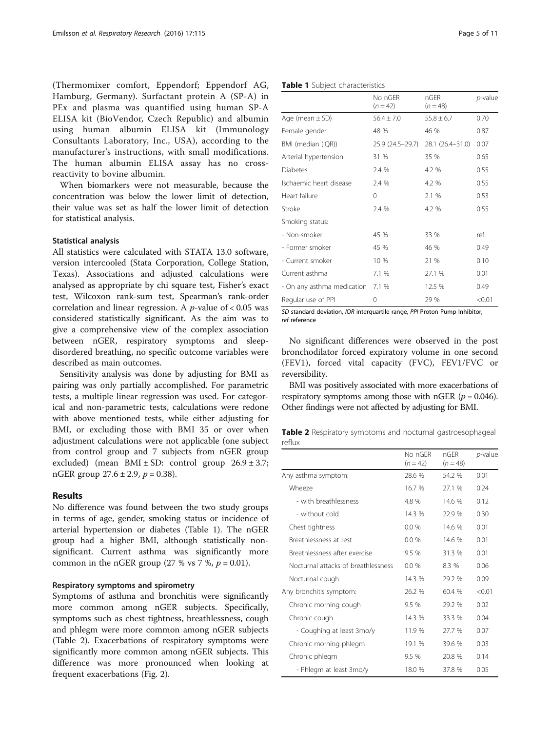(Thermomixer comfort, Eppendorf; Eppendorf AG, Hamburg, Germany). Surfactant protein A (SP-A) in PEx and plasma was quantified using human SP-A ELISA kit (BioVendor, Czech Republic) and albumin using human albumin ELISA kit (Immunology Consultants Laboratory, Inc., USA), according to the manufacturer's instructions, with small modifications. The human albumin ELISA assay has no crossreactivity to bovine albumin.

When biomarkers were not measurable, because the concentration was below the lower limit of detection, their value was set as half the lower limit of detection for statistical analysis.

#### Statistical analysis

All statistics were calculated with STATA 13.0 software, version intercooled (Stata Corporation, College Station, Texas). Associations and adjusted calculations were analysed as appropriate by chi square test, Fisher's exact test, Wilcoxon rank-sum test, Spearman's rank-order correlation and linear regression. A  $p$ -value of < 0.05 was considered statistically significant. As the aim was to give a comprehensive view of the complex association between nGER, respiratory symptoms and sleepdisordered breathing, no specific outcome variables were described as main outcomes.

Sensitivity analysis was done by adjusting for BMI as pairing was only partially accomplished. For parametric tests, a multiple linear regression was used. For categorical and non-parametric tests, calculations were redone with above mentioned tests, while either adjusting for BMI, or excluding those with BMI 35 or over when adjustment calculations were not applicable (one subject from control group and 7 subjects from nGER group excluded) (mean  $BMI \pm SD$ : control group  $26.9 \pm 3.7$ ; nGER group  $27.6 \pm 2.9$ ,  $p = 0.38$ ).

# Results

No difference was found between the two study groups in terms of age, gender, smoking status or incidence of arterial hypertension or diabetes (Table 1). The nGER group had a higher BMI, although statistically nonsignificant. Current asthma was significantly more common in the nGER group (27 % vs 7 %,  $p = 0.01$ ).

#### Respiratory symptoms and spirometry

Symptoms of asthma and bronchitis were significantly more common among nGER subjects. Specifically, symptoms such as chest tightness, breathlessness, cough and phlegm were more common among nGER subjects (Table 2). Exacerbations of respiratory symptoms were significantly more common among nGER subjects. This difference was more pronounced when looking at frequent exacerbations (Fig. [2](#page-5-0)).

|                            | No nGER<br>$(n = 42)$ | nGER<br>$(n = 48)$ | <i>p</i> -value |
|----------------------------|-----------------------|--------------------|-----------------|
| Age (mean $\pm$ SD)        | $56.4 \pm 7.0$        | $55.8 \pm 6.7$     | 0.70            |
| Female gender              | 48 %                  | 46 %               | 0.87            |
| BMI (median (IQR))         | 25.9 (24.5-29.7)      | 28.1 (26.4-31.0)   | 0.07            |
| Arterial hypertension      | 31 %                  | 35 %               | 0.65            |
| Diabetes                   | 2.4 %                 | 4.2 %              | 0.55            |
| Ischaemic heart disease    | 2.4 %                 | 4.2 %              | 0.55            |
| Heart failure              | 0                     | 2.1 %              | 0.53            |
| Stroke                     | 2.4 %                 | 4.2 %              | 0.55            |
| Smoking status:            |                       |                    |                 |
| - Non-smoker               | 45 %                  | 33 %               | ref.            |
| - Former smoker            | 45 %                  | 46 %               | 0.49            |
| - Current smoker           | 10 %                  | 21 %               | 0.10            |
| Current asthma             | 7.1 %                 | 27.1 %             | 0.01            |
| - On any asthma medication | 7.1%                  | 12.5 %             | 0.49            |
| Regular use of PPI         | 0                     | 29 %               | < 0.01          |

SD standard deviation, IQR interquartile range, PPI Proton Pump Inhibitor, ref reference

No significant differences were observed in the post bronchodilator forced expiratory volume in one second (FEV1), forced vital capacity (FVC), FEV1/FVC or reversibility.

BMI was positively associated with more exacerbations of respiratory symptoms among those with nGER ( $p = 0.046$ ). Other findings were not affected by adjusting for BMI.

Table 2 Respiratory symptoms and nocturnal gastroesophageal reflux

|                                     | No nGFR<br>$(n = 42)$ | nGFR<br>$(n = 48)$ | <i>p</i> -value |
|-------------------------------------|-----------------------|--------------------|-----------------|
| Any asthma symptom:                 | 28.6 %                | 54.2 %             | 0.01            |
| Wheeze                              | 16.7 %                | 27.1 %             | 0.24            |
| - with breathlessness               | 4.8 %                 | 14.6 %             | 0.12            |
| - without cold                      | 14.3 %                | 22.9%              | 0.30            |
| Chest tightness                     | $0.0\%$               | 14.6 %             | 0.01            |
| Breathlessness at rest              | $0.0\%$               | 14.6 %             | 0.01            |
| Breathlessness after exercise       | 9.5%                  | 31.3%              | 0.01            |
| Nocturnal attacks of breathlessness | $0.0\%$               | 8.3 %              | 0.06            |
| Nocturnal cough                     | 14.3 %                | 29.2 %             | 0.09            |
| Any bronchitis symptom:             | 26.2 %                | 60.4 %             | < 0.01          |
| Chronic morning cough               | 9.5 %                 | 29.2 %             | 0.02            |
| Chronic cough                       | 14.3 %                | 33.3 %             | 0.04            |
| - Coughing at least 3mo/y           | 11.9 %                | 27.7 %             | 0.07            |
| Chronic morning phlegm              | 19.1 %                | 39.6 %             | 0.03            |
| Chronic phlegm                      | 9.5 %                 | 20.8 %             | 0.14            |
| - Phlegm at least 3mo/y             | 18.0 %                | 37.8%              | 0.05            |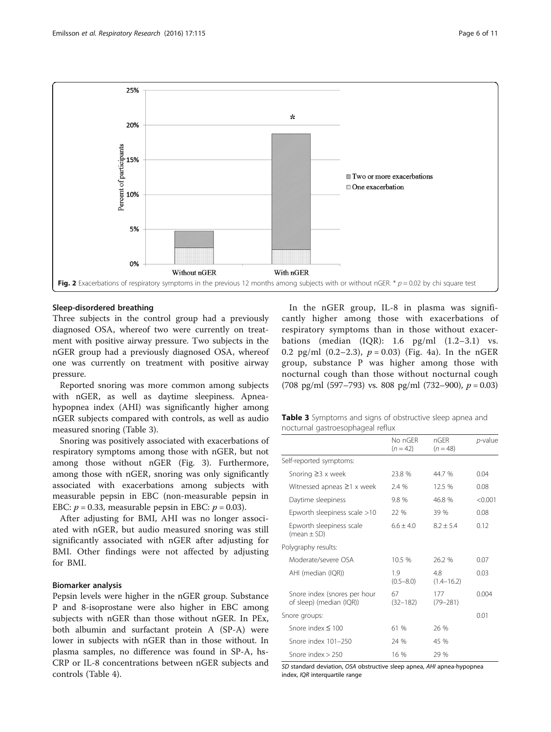<span id="page-5-0"></span>

# Sleep-disordered breathing

Three subjects in the control group had a previously diagnosed OSA, whereof two were currently on treatment with positive airway pressure. Two subjects in the nGER group had a previously diagnosed OSA, whereof one was currently on treatment with positive airway pressure.

Reported snoring was more common among subjects with nGER, as well as daytime sleepiness. Apneahypopnea index (AHI) was significantly higher among nGER subjects compared with controls, as well as audio measured snoring (Table 3).

Snoring was positively associated with exacerbations of respiratory symptoms among those with nGER, but not among those without nGER (Fig. [3](#page-6-0)). Furthermore, among those with nGER, snoring was only significantly associated with exacerbations among subjects with measurable pepsin in EBC (non-measurable pepsin in EBC:  $p = 0.33$ , measurable pepsin in EBC:  $p = 0.03$ ).

After adjusting for BMI, AHI was no longer associated with nGER, but audio measured snoring was still significantly associated with nGER after adjusting for BMI. Other findings were not affected by adjusting for BMI.

# Biomarker analysis

Pepsin levels were higher in the nGER group. Substance P and 8-isoprostane were also higher in EBC among subjects with nGER than those without nGER. In PEx, both albumin and surfactant protein A (SP-A) were lower in subjects with nGER than in those without. In plasma samples, no difference was found in SP-A, hs-CRP or IL-8 concentrations between nGER subjects and controls (Table [4](#page-6-0)).

In the nGER group, IL-8 in plasma was significantly higher among those with exacerbations of respiratory symptoms than in those without exacerbations (median  $(IQR)$ : 1.6 pg/ml  $(1.2-3.1)$  vs. 0.2 pg/ml  $(0.2-2.3)$ ,  $p = 0.03$ ) (Fig. [4a](#page-7-0)). In the nGER group, substance P was higher among those with nocturnal cough than those without nocturnal cough (708 pg/ml (597–793) vs. 808 pg/ml (732–900),  $p = 0.03$ )

|                                   |  | Table 3 Symptoms and signs of obstructive sleep apnea and |  |  |
|-----------------------------------|--|-----------------------------------------------------------|--|--|
| nocturnal gastroesophageal reflux |  |                                                           |  |  |

|                                                          | No nGFR<br>$(n = 42)$ | nGFR<br>$(n = 48)$    | <i>p</i> -value |
|----------------------------------------------------------|-----------------------|-----------------------|-----------------|
| Self-reported symptoms:                                  |                       |                       |                 |
| Snoring $\geq$ 3 x week                                  | 23.8%                 | 44.7 %                | 0.04            |
| Witnessed apneas $\geq$ 1 x week                         | 2.4 %                 | 12.5 %                | 0.08            |
| Daytime sleepiness                                       | 9.8 %                 | 46.8 %                | < 0.001         |
| Epworth sleepiness scale $>10$                           | 22 %                  | 39 %                  | 0.08            |
| Epworth sleepiness scale<br>(mean $\pm$ SD)              | $6.6 + 4.0$           | $8.2 + 5.4$           | 0.12            |
| Polygraphy results:                                      |                       |                       |                 |
| Moderate/severe OSA                                      | 10.5 %                | 26.2 %                | 0.07            |
| AHI (median (IQR))                                       | 1.9<br>$(0.5 - 8.0)$  | 4.8<br>$(1.4 - 16.2)$ | 0.03            |
| Snore index (snores per hour<br>of sleep) (median (IQR)) | 67<br>$(32 - 182)$    | 177<br>$(79 - 281)$   | 0.004           |
| Snore groups:                                            |                       |                       | 0.01            |
| Snore index $\leq 100$                                   | 61 %                  | 26 %                  |                 |
| Snore index 101-250                                      | 24 %                  | 45 %                  |                 |
| Snore index $> 250$                                      | 16 %                  | 29 %                  |                 |

SD standard deviation, OSA obstructive sleep apnea, AHI apnea-hypopnea index, IQR interquartile range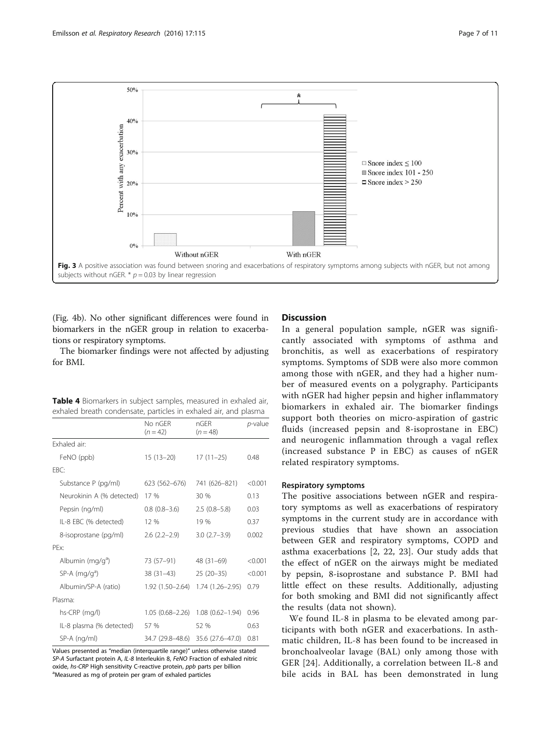<span id="page-6-0"></span>

(Fig. [4b\)](#page-7-0). No other significant differences were found in biomarkers in the nGER group in relation to exacerbations or respiratory symptoms.

The biomarker findings were not affected by adjusting for BMI.

Table 4 Biomarkers in subject samples, measured in exhaled air, exhaled breath condensate, particles in exhaled air, and plasma

|                              | No nGFR<br>$(n = 42)$ | nGFR<br>$(n = 48)$  | <i>p</i> -value |
|------------------------------|-----------------------|---------------------|-----------------|
| Exhaled air                  |                       |                     |                 |
| FeNO (ppb)                   | $15(13-20)$           | $17(11-25)$         | 0.48            |
| FBC:                         |                       |                     |                 |
| Substance P (pg/ml)          | 623 (562-676)         | 741 (626-821)       | < 0.001         |
| Neurokinin A (% detected)    | 17 %                  | 30 %                | 0.13            |
| Pepsin (ng/ml)               | $0.8(0.8-3.6)$        | $2.5(0.8-5.8)$      | 0.03            |
| IL-8 EBC (% detected)        | 12%                   | 19 %                | 0.37            |
| 8-isoprostane (pg/ml)        | $2.6(2.2-2.9)$        | $3.0(2.7-3.9)$      | 0.002           |
| PFx.                         |                       |                     |                 |
| Albumin (mg/g <sup>a</sup> ) | 73 (57–91)            | $48(31-69)$         | < 0.001         |
| $SP-A$ (mg/g <sup>a</sup> )  | $38(31-43)$           | $25(20-35)$         | < 0.001         |
| Albumin/SP-A (ratio)         | 1.92 (1.50-2.64)      | $1.74(1.26 - 2.95)$ | 0.79            |
| Plasma:                      |                       |                     |                 |
| hs-CRP (mg/l)                | $1.05(0.68 - 2.26)$   | $1.08(0.62 - 1.94)$ | 0.96            |
| IL-8 plasma (% detected)     | 57 %                  | 52 %                | 0.63            |
| SP-A (ng/ml)                 | 34.7 (29.8–48.6)      | 35.6 (27.6-47.0)    | 0.81            |

Values presented as "median (interquartile range)" unless otherwise stated SP-A Surfactant protein A, IL-8 Interleukin 8, FeNO Fraction of exhaled nitric oxide, hs-CRP High sensitivity C-reactive protein, ppb parts per billion Measured as mg of protein per gram of exhaled particles

# **Discussion**

In a general population sample, nGER was significantly associated with symptoms of asthma and bronchitis, as well as exacerbations of respiratory symptoms. Symptoms of SDB were also more common among those with nGER, and they had a higher number of measured events on a polygraphy. Participants with nGER had higher pepsin and higher inflammatory biomarkers in exhaled air. The biomarker findings support both theories on micro-aspiration of gastric fluids (increased pepsin and 8-isoprostane in EBC) and neurogenic inflammation through a vagal reflex (increased substance P in EBC) as causes of nGER related respiratory symptoms.

#### Respiratory symptoms

The positive associations between nGER and respiratory symptoms as well as exacerbations of respiratory symptoms in the current study are in accordance with previous studies that have shown an association between GER and respiratory symptoms, COPD and asthma exacerbations [\[2](#page-9-0), [22, 23](#page-9-0)]. Our study adds that the effect of nGER on the airways might be mediated by pepsin, 8-isoprostane and substance P. BMI had little effect on these results. Additionally, adjusting for both smoking and BMI did not significantly affect the results (data not shown).

We found IL-8 in plasma to be elevated among participants with both nGER and exacerbations. In asthmatic children, IL-8 has been found to be increased in bronchoalveolar lavage (BAL) only among those with GER [[24\]](#page-9-0). Additionally, a correlation between IL-8 and bile acids in BAL has been demonstrated in lung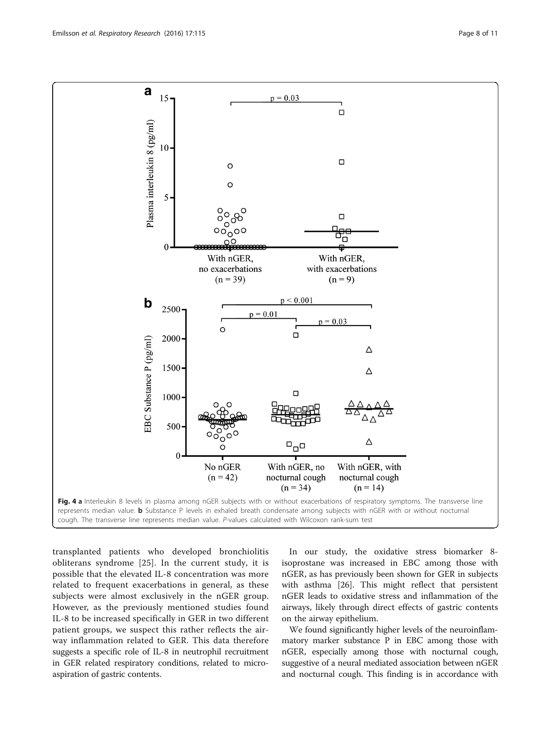<span id="page-7-0"></span>

transplanted patients who developed bronchiolitis obliterans syndrome [\[25](#page-9-0)]. In the current study, it is possible that the elevated IL-8 concentration was more related to frequent exacerbations in general, as these subjects were almost exclusively in the nGER group. However, as the previously mentioned studies found IL-8 to be increased specifically in GER in two different patient groups, we suspect this rather reflects the airway inflammation related to GER. This data therefore suggests a specific role of IL-8 in neutrophil recruitment in GER related respiratory conditions, related to microaspiration of gastric contents.

In our study, the oxidative stress biomarker 8 isoprostane was increased in EBC among those with nGER, as has previously been shown for GER in subjects with asthma [\[26\]](#page-9-0). This might reflect that persistent nGER leads to oxidative stress and inflammation of the airways, likely through direct effects of gastric contents on the airway epithelium.

We found significantly higher levels of the neuroinflammatory marker substance P in EBC among those with nGER, especially among those with nocturnal cough, suggestive of a neural mediated association between nGER and nocturnal cough. This finding is in accordance with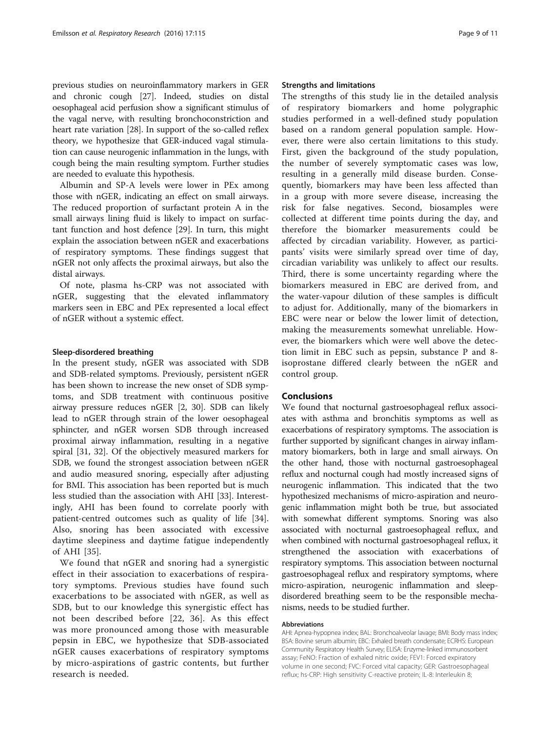previous studies on neuroinflammatory markers in GER and chronic cough [\[27\]](#page-9-0). Indeed, studies on distal oesophageal acid perfusion show a significant stimulus of the vagal nerve, with resulting bronchoconstriction and heart rate variation [\[28\]](#page-9-0). In support of the so-called reflex theory, we hypothesize that GER-induced vagal stimulation can cause neurogenic inflammation in the lungs, with cough being the main resulting symptom. Further studies are needed to evaluate this hypothesis.

Albumin and SP-A levels were lower in PEx among those with nGER, indicating an effect on small airways. The reduced proportion of surfactant protein A in the small airways lining fluid is likely to impact on surfactant function and host defence [[29\]](#page-10-0). In turn, this might explain the association between nGER and exacerbations of respiratory symptoms. These findings suggest that nGER not only affects the proximal airways, but also the distal airways.

Of note, plasma hs-CRP was not associated with nGER, suggesting that the elevated inflammatory markers seen in EBC and PEx represented a local effect of nGER without a systemic effect.

#### Sleep-disordered breathing

In the present study, nGER was associated with SDB and SDB-related symptoms. Previously, persistent nGER has been shown to increase the new onset of SDB symptoms, and SDB treatment with continuous positive airway pressure reduces nGER [\[2](#page-9-0), [30\]](#page-10-0). SDB can likely lead to nGER through strain of the lower oesophageal sphincter, and nGER worsen SDB through increased proximal airway inflammation, resulting in a negative spiral [[31, 32\]](#page-10-0). Of the objectively measured markers for SDB, we found the strongest association between nGER and audio measured snoring, especially after adjusting for BMI. This association has been reported but is much less studied than the association with AHI [[33](#page-10-0)]. Interestingly, AHI has been found to correlate poorly with patient-centred outcomes such as quality of life [\[34](#page-10-0)]. Also, snoring has been associated with excessive daytime sleepiness and daytime fatigue independently of AHI [[35\]](#page-10-0).

We found that nGER and snoring had a synergistic effect in their association to exacerbations of respiratory symptoms. Previous studies have found such exacerbations to be associated with nGER, as well as SDB, but to our knowledge this synergistic effect has not been described before [[22](#page-9-0), [36\]](#page-10-0). As this effect was more pronounced among those with measurable pepsin in EBC, we hypothesize that SDB-associated nGER causes exacerbations of respiratory symptoms by micro-aspirations of gastric contents, but further research is needed.

# Strengths and limitations

The strengths of this study lie in the detailed analysis of respiratory biomarkers and home polygraphic studies performed in a well-defined study population based on a random general population sample. However, there were also certain limitations to this study. First, given the background of the study population, the number of severely symptomatic cases was low, resulting in a generally mild disease burden. Consequently, biomarkers may have been less affected than in a group with more severe disease, increasing the risk for false negatives. Second, biosamples were collected at different time points during the day, and therefore the biomarker measurements could be affected by circadian variability. However, as participants' visits were similarly spread over time of day, circadian variability was unlikely to affect our results. Third, there is some uncertainty regarding where the biomarkers measured in EBC are derived from, and the water-vapour dilution of these samples is difficult to adjust for. Additionally, many of the biomarkers in EBC were near or below the lower limit of detection, making the measurements somewhat unreliable. However, the biomarkers which were well above the detection limit in EBC such as pepsin, substance P and 8 isoprostane differed clearly between the nGER and control group.

# Conclusions

We found that nocturnal gastroesophageal reflux associates with asthma and bronchitis symptoms as well as exacerbations of respiratory symptoms. The association is further supported by significant changes in airway inflammatory biomarkers, both in large and small airways. On the other hand, those with nocturnal gastroesophageal reflux and nocturnal cough had mostly increased signs of neurogenic inflammation. This indicated that the two hypothesized mechanisms of micro-aspiration and neurogenic inflammation might both be true, but associated with somewhat different symptoms. Snoring was also associated with nocturnal gastroesophageal reflux, and when combined with nocturnal gastroesophageal reflux, it strengthened the association with exacerbations of respiratory symptoms. This association between nocturnal gastroesophageal reflux and respiratory symptoms, where micro-aspiration, neurogenic inflammation and sleepdisordered breathing seem to be the responsible mechanisms, needs to be studied further.

#### Abbreviations

AHI: Apnea-hypopnea index; BAL: Bronchoalveolar lavage; BMI: Body mass index; BSA: Bovine serum albumin; EBC: Exhaled breath condensate; ECRHS: European Community Respiratory Health Survey; ELISA: Enzyme-linked immunosorbent assay; FeNO: Fraction of exhaled nitric oxide; FEV1: Forced expiratory volume in one second; FVC: Forced vital capacity; GER: Gastroesophageal reflux; hs-CRP: High sensitivity C-reactive protein; IL-8: Interleukin 8;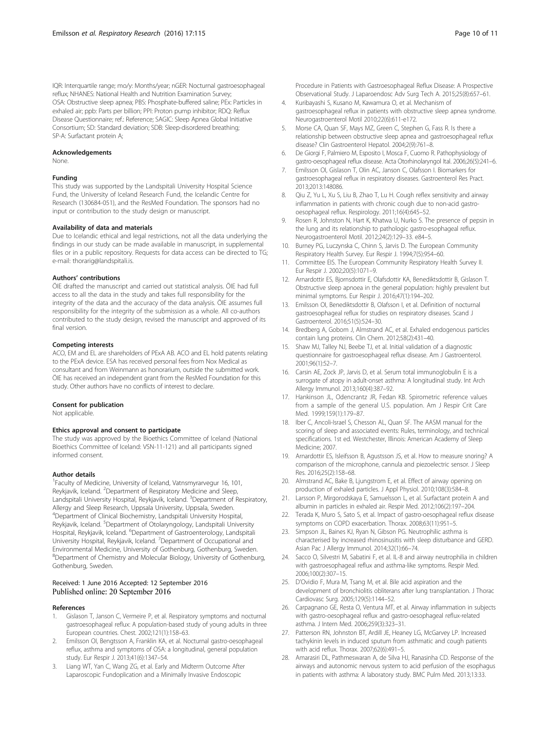<span id="page-9-0"></span>IQR: Interquartile range; mo/y: Months/year; nGER: Nocturnal gastroesophageal reflux; NHANES: National Health and Nutrition Examination Survey; OSA: Obstructive sleep apnea; PBS: Phosphate-buffered saline; PEx: Particles in exhaled air; ppb: Parts per billion; PPI: Proton pump inhibitor; RDQ: Reflux Disease Questionnaire; ref.: Reference; SAGIC: Sleep Apnea Global Initiative Consortium; SD: Standard deviation; SDB: Sleep-disordered breathing; SP-A: Surfactant protein A;

#### Acknowledgements

None.

#### Funding

This study was supported by the Landspitali University Hospital Science Fund, the University of Iceland Research Fund, the Icelandic Centre for Research (130684-051), and the ResMed Foundation. The sponsors had no input or contribution to the study design or manuscript.

#### Availability of data and materials

Due to Icelandic ethical and legal restrictions, not all the data underlying the findings in our study can be made available in manuscript, in supplemental files or in a public repository. Requests for data access can be directed to TG; e-mail: thorarig@landspitali.is.

#### Authors' contributions

ÖIE drafted the manuscript and carried out statistical analysis. ÖIE had full access to all the data in the study and takes full responsibility for the integrity of the data and the accuracy of the data analysis. ÖIE assumes full responsibility for the integrity of the submission as a whole. All co-authors contributed to the study design, revised the manuscript and approved of its final version.

#### Competing interests

ACO, EM and EL are shareholders of PExA AB. ACO and EL hold patents relating to the PExA device. ESA has received personal fees from Nox Medical as consultant and from Weinmann as honorarium, outside the submitted work. ÖIE has received an independent grant from the ResMed Foundation for this study. Other authors have no conflicts of interest to declare.

#### Consent for publication

Not applicable.

#### Ethics approval and consent to participate

The study was approved by the Bioethics Committee of Iceland (National Bioethics Committee of Iceland: VSN-11-121) and all participants signed informed consent.

#### Author details

<sup>1</sup> Faculty of Medicine, University of Iceland, Vatnsmyrarvegur 16, 101, Reykjavik, Iceland. <sup>2</sup>Department of Respiratory Medicine and Sleep, Landspitali University Hospital, Reykjavik, Iceland. <sup>3</sup>Department of Respiratory, Allergy and Sleep Research, Uppsala University, Uppsala, Sweden. 4 Department of Clinical Biochemistry, Landspitali University Hospital, Reykjavik, Iceland. <sup>5</sup>Department of Otolaryngology, Landspitali University Hospital, Reykjavik, Iceland. <sup>6</sup>Department of Gastroenterology, Landspitali University Hospital, Reykjavik, Iceland. <sup>7</sup>Department of Occupational and Environmental Medicine, University of Gothenburg, Gothenburg, Sweden. 8 Department of Chemistry and Molecular Biology, University of Gothenburg, Gothenburg, Sweden.

#### Received: 1 June 2016 Accepted: 12 September 2016 Published online: 20 September 2016

#### References

- 1. Gislason T, Janson C, Vermeire P, et al. Respiratory symptoms and nocturnal gastroesophageal reflux: A population-based study of young adults in three European countries. Chest. 2002;121(1):158–63.
- 2. Emilsson OI, Bengtsson A, Franklin KA, et al. Nocturnal gastro-oesophageal reflux, asthma and symptoms of OSA: a longitudinal, general population study. Eur Respir J. 2013;41(6):1347–54.
- Liang WT, Yan C, Wang ZG, et al. Early and Midterm Outcome After Laparoscopic Fundoplication and a Minimally Invasive Endoscopic

Procedure in Patients with Gastroesophageal Reflux Disease: A Prospective Observational Study. J Laparoendosc Adv Surg Tech A. 2015;25(8):657–61.

- 4. Kuribayashi S, Kusano M, Kawamura O, et al. Mechanism of gastroesophageal reflux in patients with obstructive sleep apnea syndrome. Neurogastroenterol Motil 2010;22(6):611-e172.
- 5. Morse CA, Quan SF, Mays MZ, Green C, Stephen G, Fass R. Is there a relationship between obstructive sleep apnea and gastroesophageal reflux disease? Clin Gastroenterol Hepatol. 2004;2(9):761–8.
- 6. De Giorgi F, Palmiero M, Esposito I, Mosca F, Cuomo R. Pathophysiology of gastro-oesophageal reflux disease. Acta Otorhinolaryngol Ital. 2006;26(5):241–6.
- 7. Emilsson OI, Gislason T, Olin AC, Janson C, Olafsson I. Biomarkers for gastroesophageal reflux in respiratory diseases. Gastroenterol Res Pract. 2013;2013:148086.
- 8. Qiu Z, Yu L, Xu S, Liu B, Zhao T, Lu H. Cough reflex sensitivity and airway inflammation in patients with chronic cough due to non-acid gastrooesophageal reflux. Respirology. 2011;16(4):645–52.
- 9. Rosen R, Johnston N, Hart K, Khatwa U, Nurko S. The presence of pepsin in the lung and its relationship to pathologic gastro-esophageal reflux. Neurogastroenterol Motil. 2012;24(2):129–33. e84–5.
- 10. Burney PG, Luczynska C, Chinn S, Jarvis D. The European Community Respiratory Health Survey. Eur Respir J. 1994;7(5):954–60.
- 11. Committee EIS. The European Community Respiratory Health Survey II. Eur Respir J. 2002;20(5):1071–9.
- 12. Arnardottir ES, Bjornsdottir E, Olafsdottir KA, Benediktsdottir B, Gislason T. Obstructive sleep apnoea in the general population: highly prevalent but minimal symptoms. Eur Respir J. 2016;47(1):194–202.
- 13. Emilsson OI, Benediktsdottir B, Olafsson I, et al. Definition of nocturnal gastroesophageal reflux for studies on respiratory diseases. Scand J Gastroenterol. 2016;51(5):524–30.
- 14. Bredberg A, Gobom J, Almstrand AC, et al. Exhaled endogenous particles contain lung proteins. Clin Chem. 2012;58(2):431–40.
- 15. Shaw MJ, Talley NJ, Beebe TJ, et al. Initial validation of a diagnostic questionnaire for gastroesophageal reflux disease. Am J Gastroenterol. 2001;96(1):52–7.
- 16. Carsin AE, Zock JP, Jarvis D, et al. Serum total immunoglobulin E is a surrogate of atopy in adult-onset asthma: A longitudinal study. Int Arch Allergy Immunol. 2013;160(4):387–92.
- 17. Hankinson JL, Odencrantz JR, Fedan KB. Spirometric reference values from a sample of the general U.S. population. Am J Respir Crit Care Med. 1999;159(1):179–87.
- 18. Iber C, Ancoli-Israel S, Chesson AL, Quan SF. The AASM manual for the scoring of sleep and associated events: Rules, terminology, and technical specifications. 1st ed. Westchester, Illinois: American Academy of Sleep Medicine; 2007.
- 19. Arnardottir ES, Isleifsson B, Agustsson JS, et al. How to measure snoring? A comparison of the microphone, cannula and piezoelectric sensor. J Sleep Res. 2016;25(2):158–68.
- 20. Almstrand AC, Bake B, Ljungstrom E, et al. Effect of airway opening on production of exhaled particles. J Appl Physiol. 2010;108(3):584–8.
- 21. Larsson P, Mirgorodskaya E, Samuelsson L, et al. Surfactant protein A and albumin in particles in exhaled air. Respir Med. 2012;106(2):197–204.
- 22. Terada K, Muro S, Sato S, et al. Impact of gastro-oesophageal reflux disease symptoms on COPD exacerbation. Thorax. 2008;63(11):951–5.
- 23. Simpson JL, Baines KJ, Ryan N, Gibson PG. Neutrophilic asthma is characterised by increased rhinosinusitis with sleep disturbance and GERD. Asian Pac J Allergy Immunol. 2014;32(1):66–74.
- 24. Sacco O, Silvestri M, Sabatini F, et al. IL-8 and airway neutrophilia in children with gastroesophageal reflux and asthma-like symptoms. Respir Med. 2006;100(2):307–15.
- 25. D'Ovidio F, Mura M, Tsang M, et al. Bile acid aspiration and the development of bronchiolitis obliterans after lung transplantation. J Thorac Cardiovasc Surg. 2005;129(5):1144–52.
- 26. Carpagnano GE, Resta O, Ventura MT, et al. Airway inflammation in subjects with gastro-oesophageal reflux and gastro-oesophageal reflux-related asthma. J Intern Med. 2006;259(3):323–31.
- 27. Patterson RN, Johnston BT, Ardill JE, Heaney LG, McGarvey LP. Increased tachykinin levels in induced sputum from asthmatic and cough patients with acid reflux. Thorax. 2007;62(6):491–5.
- 28. Amarasiri DL, Pathmeswaran A, de Silva HJ, Ranasinha CD. Response of the airways and autonomic nervous system to acid perfusion of the esophagus in patients with asthma: A laboratory study. BMC Pulm Med. 2013;13:33.